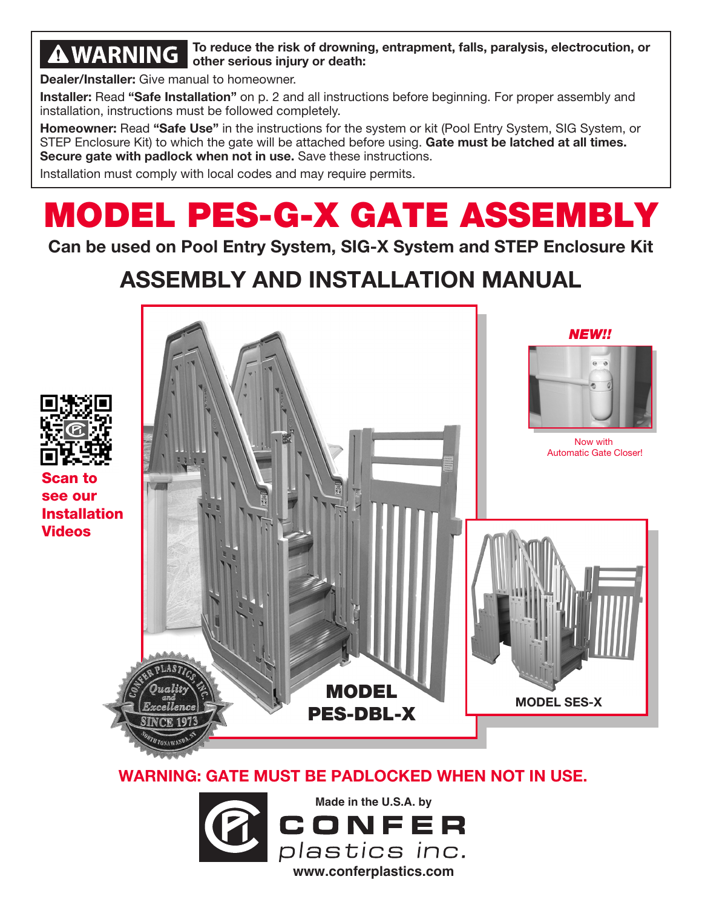## **AWARNING**

#### To reduce the risk of drowning, entrapment, falls, paralysis, electrocution, or other serious injury or death:

Dealer/Installer: Give manual to homeowner.

Installer: Read "Safe Installation" on p. 2 and all instructions before beginning. For proper assembly and installation, instructions must be followed completely.

Homeowner: Read "Safe Use" in the instructions for the system or kit (Pool Entry System, SIG System, or STEP Enclosure Kit) to which the gate will be attached before using. Gate must be latched at all times. Secure gate with padlock when not in use. Save these instructions.

Installation must comply with local codes and may require permits.

# MODEL PES-G-X GATE ASSEMBLY

Can be used on Pool Entry System, SIG-X System and STEP Enclosure Kit

### ASSEMBLY AND INSTALLATION MANUAL



an to see our Installation Videos



WARNING: GATE MUST BE PADLOCKED WHEN NOT IN USE.

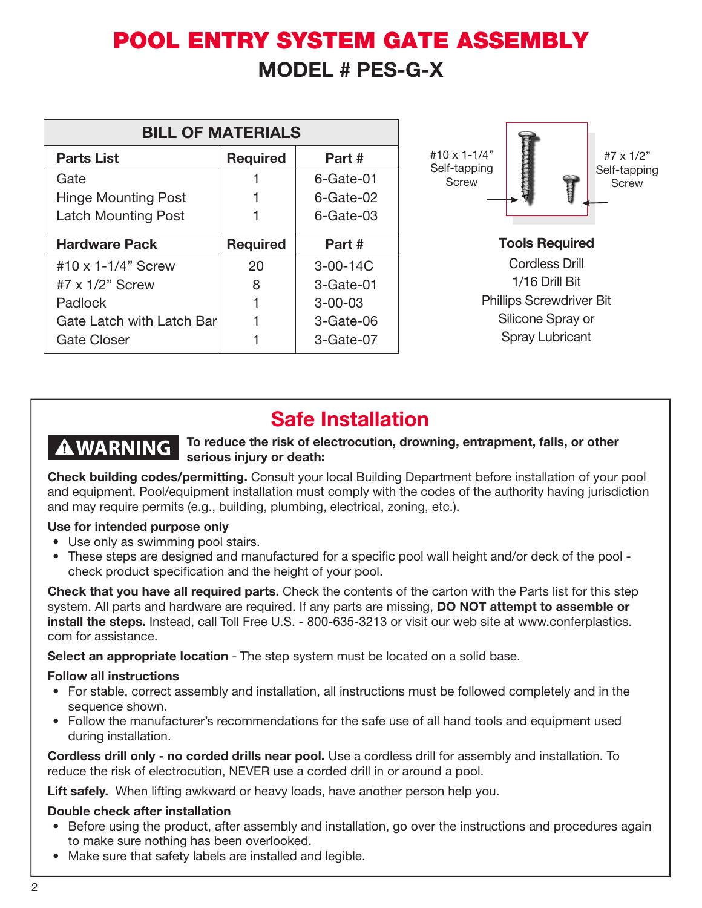### POOL ENTRY SYSTEM GATE ASSEMBLY MODEL # PES-G-X

| <b>BILL OF MATERIALS</b>          |                 |                |
|-----------------------------------|-----------------|----------------|
| <b>Parts List</b>                 | <b>Required</b> | Part #         |
| Gate                              |                 | 6-Gate-01      |
| <b>Hinge Mounting Post</b>        |                 | 6-Gate-02      |
| <b>Latch Mounting Post</b>        |                 | 6-Gate-03      |
| <b>Hardware Pack</b>              | <b>Required</b> | Part#          |
| #10 x 1-1/4" Screw                | 20              | $3 - 00 - 14C$ |
| #7 x 1/2" Screw                   | 8               | 3-Gate-01      |
| Padlock                           |                 | $3 - 00 - 03$  |
| <b>Gate Latch with Latch Barl</b> |                 | 3-Gate-06      |
| <b>Gate Closer</b>                |                 | 3-Gate-07      |



#### Tools Required

Cordless Drill 1/16 Drill Bit Phillips Screwdriver Bit Silicone Spray or Spray Lubricant

### Safe Installation

### **AWARNING**

To reduce the risk of electrocution, drowning, entrapment, falls, or other serious injury or death:

Check building codes/permitting. Consult your local Building Department before installation of your pool and equipment. Pool/equipment installation must comply with the codes of the authority having jurisdiction and may require permits (e.g., building, plumbing, electrical, zoning, etc.).

#### Use for intended purpose only

- Use only as swimming pool stairs.
- These steps are designed and manufactured for a specific pool wall height and/or deck of the pool check product specification and the height of your pool.

Check that you have all required parts. Check the contents of the carton with the Parts list for this step system. All parts and hardware are required. If any parts are missing, **DO NOT attempt to assemble or** install the steps. Instead, call Toll Free U.S. - 800-635-3213 or visit our web site at www.conferplastics. com for assistance.

Select an appropriate location - The step system must be located on a solid base.

#### Follow all instructions

- For stable, correct assembly and installation, all instructions must be followed completely and in the sequence shown.
- Follow the manufacturer's recommendations for the safe use of all hand tools and equipment used during installation.

Cordless drill only - no corded drills near pool. Use a cordless drill for assembly and installation. To reduce the risk of electrocution, NEVER use a corded drill in or around a pool.

Lift safely. When lifting awkward or heavy loads, have another person help you.

#### Double check after installation

- Before using the product, after assembly and installation, go over the instructions and procedures again to make sure nothing has been overlooked.
- Make sure that safety labels are installed and legible.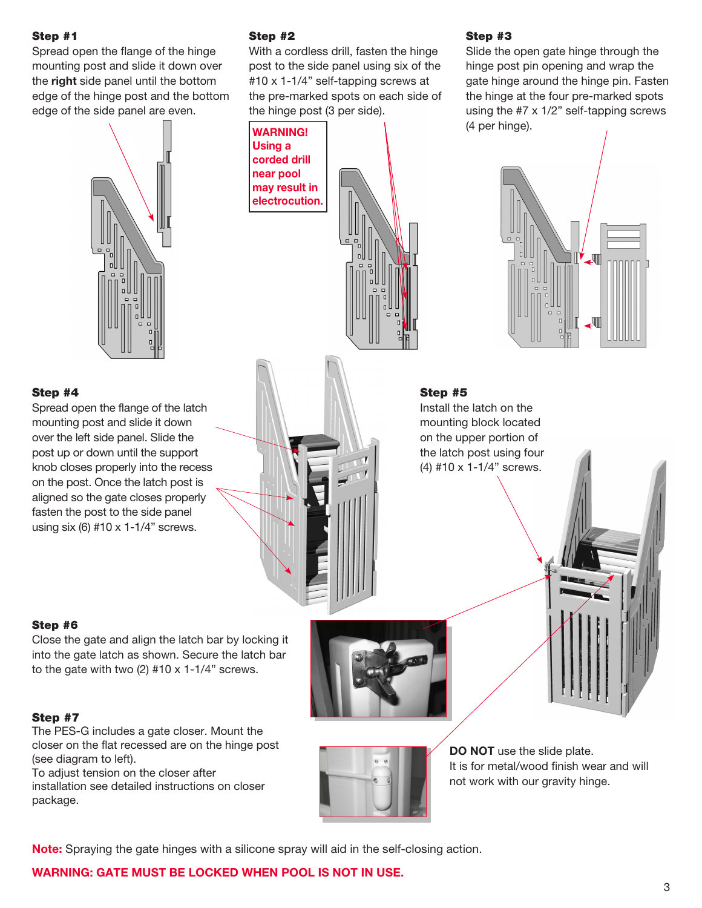#### Step #1

Spread open the flange of the hinge mounting post and slide it down over the right side panel until the bottom edge of the hinge post and the bottom edge of the side panel are even.



#### Step #4

Spread open the flange of the latch mounting post and slide it down over the left side panel. Slide the post up or down until the support knob closes properly into the recess on the post. Once the latch post is aligned so the gate closes properly fasten the post to the side panel using six (6) #10 x 1-1/4" screws.

#### Step #2

With a cordless drill, fasten the hinge post to the side panel using six of the #10 x 1-1/4" self-tapping screws at the pre-marked spots on each side of the hinge post (3 per side).

#### WARNING! Using a corded drill near pool may result in electrocution.



#### Step #3

Slide the open gate hinge through the hinge post pin opening and wrap the gate hinge around the hinge pin. Fasten the hinge at the four pre-marked spots using the #7 x 1/2" self-tapping screws (4 per hinge).



#### Step #5

Install the latch on the mounting block located on the upper portion of the latch post using four (4) #10 x 1-1/4" screws.



Close the gate and align the latch bar by locking it into the gate latch as shown. Secure the latch bar to the gate with two  $(2)$  #10 x 1-1/4" screws.

#### Step #7

The PES-G includes a gate closer. Mount the closer on the flat recessed are on the hinge post (see diagram to left).

To adjust tension on the closer after installation see detailed instructions on closer package.





DO NOT use the slide plate. It is for metal/wood finish wear and will not work with our gravity hinge.

Note: Spraying the gate hinges with a silicone spray will aid in the self-closing action.

#### WARNING: GATE MUST BE LOCKED WHEN POOL IS NOT IN USE.